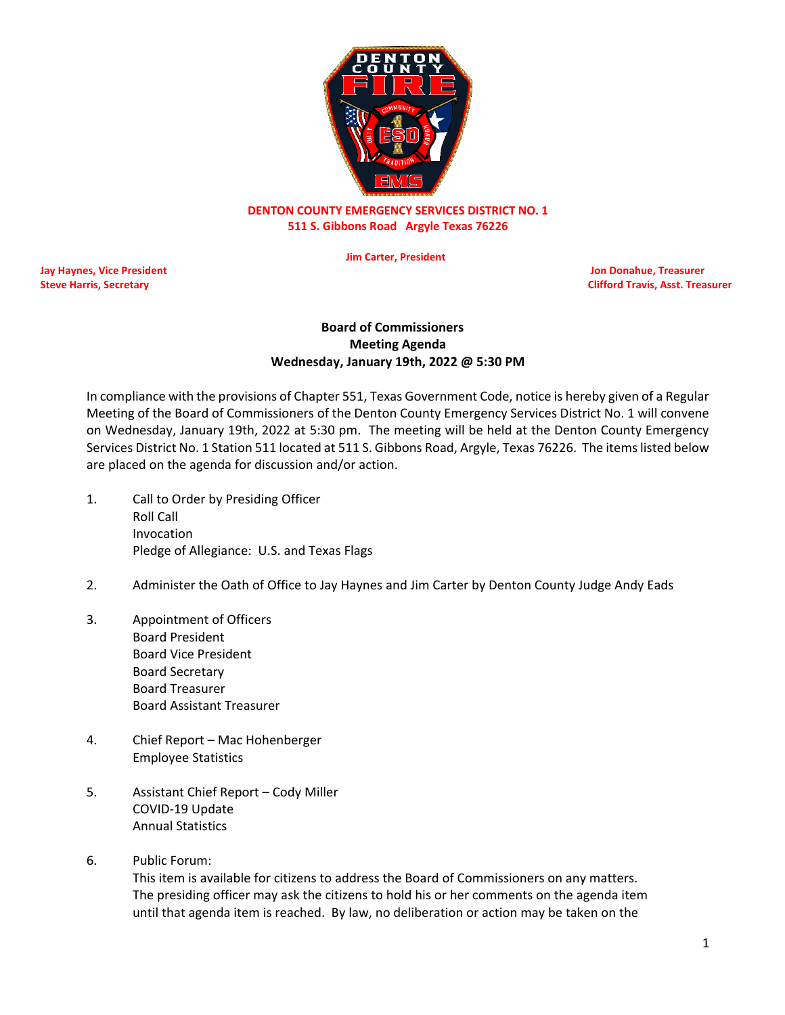

## **DENTON COUNTY EMERGENCY SERVICES DISTRICT NO. 1 511 S. Gibbons Road Argyle Texas 76226**

 **Jim Carter, President**

**Jay Haynes, Vice President Jon Donahue, Treasurer**

**Steve Harris, Secretary Clifford Travis, Asst. Treasurer** Clifford Travis, Asst. Treasurer

## **Board of Commissioners Meeting Agenda Wednesday, January 19th, 2022 @ 5:30 PM**

In compliance with the provisions of Chapter 551, Texas Government Code, notice is hereby given of a Regular Meeting of the Board of Commissioners of the Denton County Emergency Services District No. 1 will convene on Wednesday, January 19th, 2022 at 5:30 pm. The meeting will be held at the Denton County Emergency Services District No. 1 Station 511 located at 511 S. Gibbons Road, Argyle, Texas 76226. The items listed below are placed on the agenda for discussion and/or action.

- 1. Call to Order by Presiding Officer Roll Call Invocation Pledge of Allegiance: U.S. and Texas Flags
- 2. Administer the Oath of Office to Jay Haynes and Jim Carter by Denton County Judge Andy Eads
- 3. Appointment of Officers Board President Board Vice President Board Secretary Board Treasurer Board Assistant Treasurer
- 4. Chief Report Mac Hohenberger Employee Statistics
- 5. Assistant Chief Report Cody Miller COVID-19 Update Annual Statistics
- 6. Public Forum:

This item is available for citizens to address the Board of Commissioners on any matters. The presiding officer may ask the citizens to hold his or her comments on the agenda item until that agenda item is reached. By law, no deliberation or action may be taken on the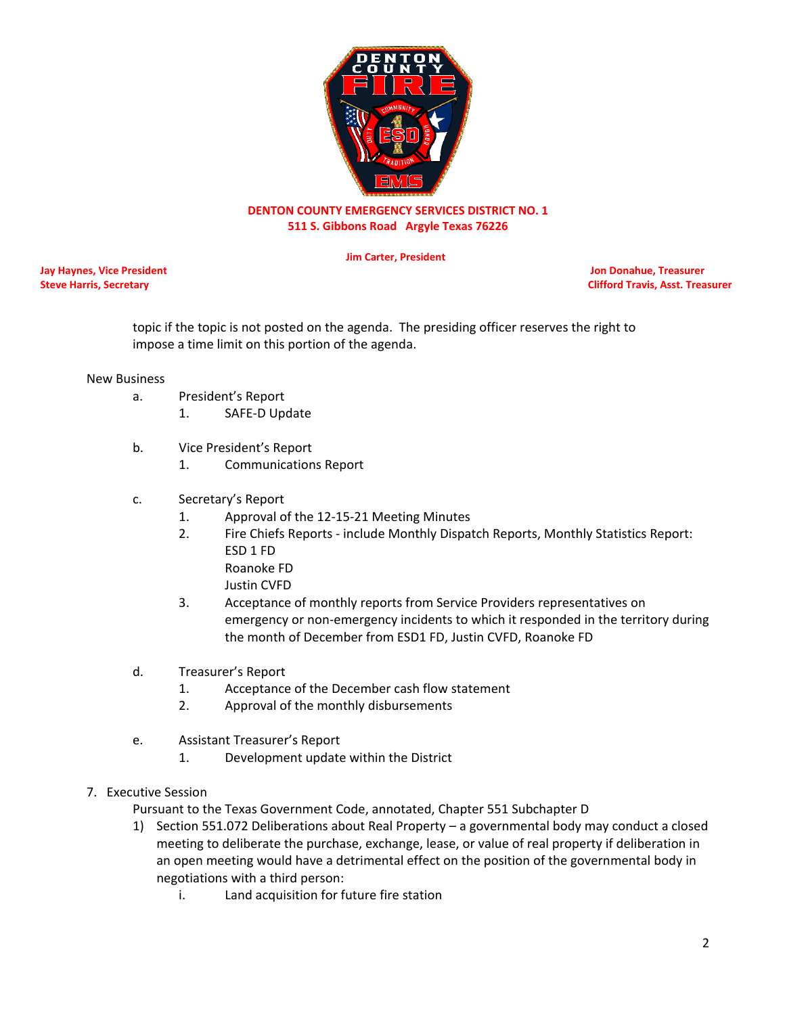

## **DENTON COUNTY EMERGENCY SERVICES DISTRICT NO. 1 511 S. Gibbons Road Argyle Texas 76226**

 **Jim Carter, President**

**Jay Haynes, Vice President Jon Donahue, Treasurer**

**Steve Harris, Secretary Clifford Travis, Asst. Treasurer** Clifford Travis, Asst. Treasurer

topic if the topic is not posted on the agenda. The presiding officer reserves the right to impose a time limit on this portion of the agenda.

#### New Business

- a. President's Report
	- 1. SAFE-D Update
- b. Vice President's Report
	- 1. Communications Report
- c. Secretary's Report
	- 1. Approval of the 12-15-21 Meeting Minutes
	- 2. Fire Chiefs Reports include Monthly Dispatch Reports, Monthly Statistics Report: ESD 1 FD Roanoke FD
		- Justin CVFD
	- 3. Acceptance of monthly reports from Service Providers representatives on emergency or non-emergency incidents to which it responded in the territory during the month of December from ESD1 FD, Justin CVFD, Roanoke FD
- d. Treasurer's Report
	- 1. Acceptance of the December cash flow statement
	- 2. Approval of the monthly disbursements
- e. Assistant Treasurer's Report
	- 1. Development update within the District
- 7. Executive Session

Pursuant to the Texas Government Code, annotated, Chapter 551 Subchapter D

- 1) Section 551.072 Deliberations about Real Property a governmental body may conduct a closed meeting to deliberate the purchase, exchange, lease, or value of real property if deliberation in an open meeting would have a detrimental effect on the position of the governmental body in negotiations with a third person:
	- i. Land acquisition for future fire station